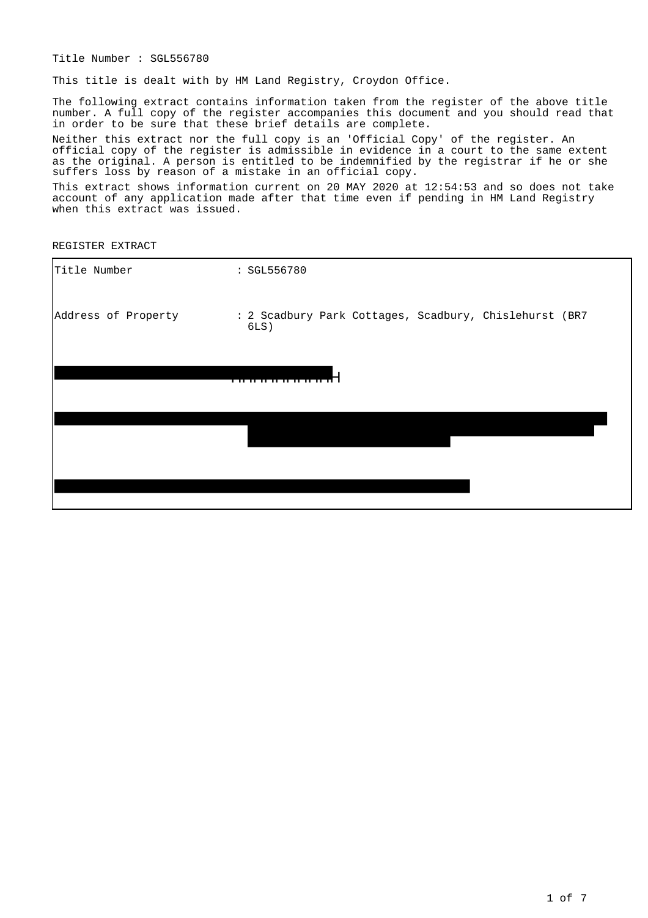Title Number : SGL556780

This title is dealt with by HM Land Registry, Croydon Office.

The following extract contains information taken from the register of the above title number. A full copy of the register accompanies this document and you should read that in order to be sure that these brief details are complete.

Neither this extract nor the full copy is an 'Official Copy' of the register. An official copy of the register is admissible in evidence in a court to the same extent as the original. A person is entitled to be indemnified by the registrar if he or she suffers loss by reason of a mistake in an official copy.

This extract shows information current on 20 MAY 2020 at 12:54:53 and so does not take account of any application made after that time even if pending in HM Land Registry when this extract was issued.

REGISTER EXTRACT

| Title Number        | : SGL556780                                                       |
|---------------------|-------------------------------------------------------------------|
| Address of Property | : 2 Scadbury Park Cottages, Scadbury, Chislehurst (BR7<br>$6LS$ ) |
|                     |                                                                   |
|                     |                                                                   |
|                     |                                                                   |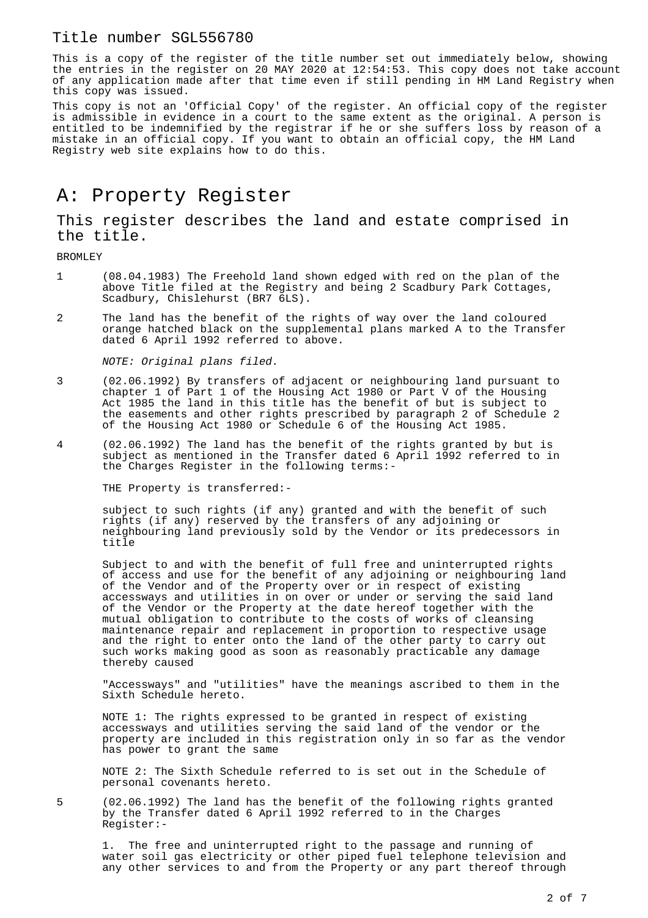This is a copy of the register of the title number set out immediately below, showing the entries in the register on 20 MAY 2020 at 12:54:53. This copy does not take account of any application made after that time even if still pending in HM Land Registry when this copy was issued.

This copy is not an 'Official Copy' of the register. An official copy of the register is admissible in evidence in a court to the same extent as the original. A person is entitled to be indemnified by the registrar if he or she suffers loss by reason of a mistake in an official copy. If you want to obtain an official copy, the HM Land Registry web site explains how to do this.

# A: Property Register

This register describes the land and estate comprised in the title.

BROMLEY

- 1 (08.04.1983) The Freehold land shown edged with red on the plan of the above Title filed at the Registry and being 2 Scadbury Park Cottages, Scadbury, Chislehurst (BR7 6LS).
- 2 The land has the benefit of the rights of way over the land coloured orange hatched black on the supplemental plans marked A to the Transfer dated 6 April 1992 referred to above.

NOTE: Original plans filed.

- 3 (02.06.1992) By transfers of adjacent or neighbouring land pursuant to chapter 1 of Part 1 of the Housing Act 1980 or Part V of the Housing Act 1985 the land in this title has the benefit of but is subject to the easements and other rights prescribed by paragraph 2 of Schedule 2 of the Housing Act 1980 or Schedule 6 of the Housing Act 1985.
- 4 (02.06.1992) The land has the benefit of the rights granted by but is subject as mentioned in the Transfer dated 6 April 1992 referred to in the Charges Register in the following terms:-

THE Property is transferred:-

subject to such rights (if any) granted and with the benefit of such rights (if any) reserved by the transfers of any adjoining or neighbouring land previously sold by the Vendor or its predecessors in title

Subject to and with the benefit of full free and uninterrupted rights of access and use for the benefit of any adjoining or neighbouring land of the Vendor and of the Property over or in respect of existing accessways and utilities in on over or under or serving the said land of the Vendor or the Property at the date hereof together with the mutual obligation to contribute to the costs of works of cleansing maintenance repair and replacement in proportion to respective usage and the right to enter onto the land of the other party to carry out such works making good as soon as reasonably practicable any damage thereby caused

"Accessways" and "utilities" have the meanings ascribed to them in the Sixth Schedule hereto.

NOTE 1: The rights expressed to be granted in respect of existing accessways and utilities serving the said land of the vendor or the property are included in this registration only in so far as the vendor has power to grant the same

NOTE 2: The Sixth Schedule referred to is set out in the Schedule of personal covenants hereto.

5 (02.06.1992) The land has the benefit of the following rights granted by the Transfer dated 6 April 1992 referred to in the Charges Register:-

1. The free and uninterrupted right to the passage and running of water soil gas electricity or other piped fuel telephone television and any other services to and from the Property or any part thereof through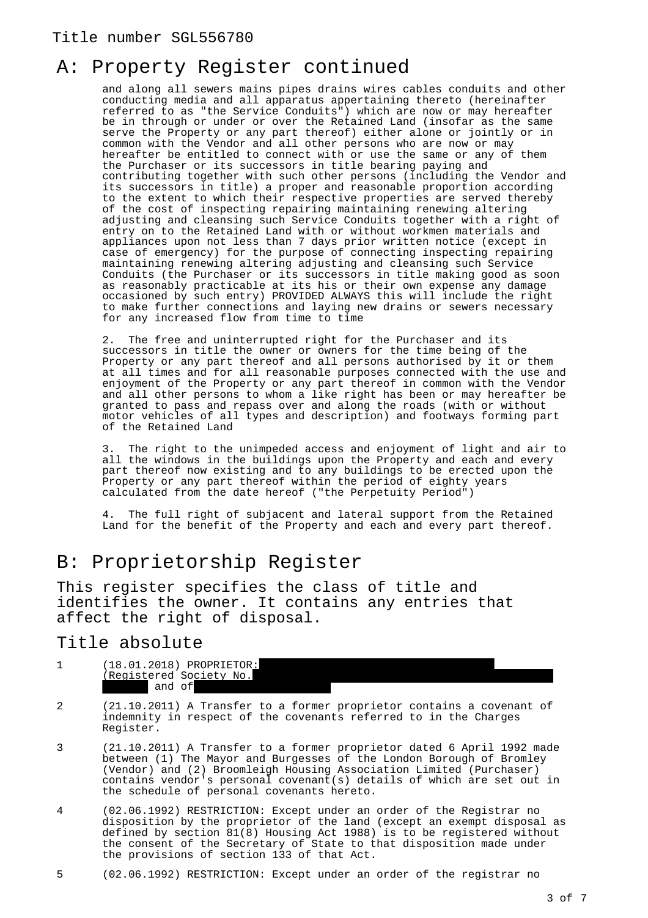## A: Property Register continued

and along all sewers mains pipes drains wires cables conduits and other conducting media and all apparatus appertaining thereto (hereinafter referred to as "the Service Conduits") which are now or may hereafter be in through or under or over the Retained Land (insofar as the same serve the Property or any part thereof) either alone or jointly or in common with the Vendor and all other persons who are now or may hereafter be entitled to connect with or use the same or any of them the Purchaser or its successors in title bearing paying and contributing together with such other persons (including the Vendor and its successors in title) a proper and reasonable proportion according to the extent to which their respective properties are served thereby of the cost of inspecting repairing maintaining renewing altering adjusting and cleansing such Service Conduits together with a right of entry on to the Retained Land with or without workmen materials and appliances upon not less than 7 days prior written notice (except in case of emergency) for the purpose of connecting inspecting repairing maintaining renewing altering adjusting and cleansing such Service Conduits (the Purchaser or its successors in title making good as soon as reasonably practicable at its his or their own expense any damage occasioned by such entry) PROVIDED ALWAYS this will include the right to make further connections and laying new drains or sewers necessary for any increased flow from time to time

2. The free and uninterrupted right for the Purchaser and its successors in title the owner or owners for the time being of the Property or any part thereof and all persons authorised by it or them at all times and for all reasonable purposes connected with the use and enjoyment of the Property or any part thereof in common with the Vendor and all other persons to whom a like right has been or may hereafter be granted to pass and repass over and along the roads (with or without motor vehicles of all types and description) and footways forming part of the Retained Land

3. The right to the unimpeded access and enjoyment of light and air to all the windows in the buildings upon the Property and each and every part thereof now existing and to any buildings to be erected upon the Property or any part thereof within the period of eighty years calculated from the date hereof ("the Perpetuity Period")

4. The full right of subjacent and lateral support from the Retained Land for the benefit of the Property and each and every part thereof.

## B: Proprietorship Register

This register specifies the class of title and identifies the owner. It contains any entries that affect the right of disposal.

### Title absolute

- 1 (18.01.2018) PROPRIETOR: (Registered Society No. and of
- 2 (21.10.2011) A Transfer to a former proprietor contains a covenant of indemnity in respect of the covenants referred to in the Charges Register.
- 3 (21.10.2011) A Transfer to a former proprietor dated 6 April 1992 made between (1) The Mayor and Burgesses of the London Borough of Bromley (Vendor) and (2) Broomleigh Housing Association Limited (Purchaser) contains vendor's personal covenant(s) details of which are set out in the schedule of personal covenants hereto.
- 4 (02.06.1992) RESTRICTION: Except under an order of the Registrar no disposition by the proprietor of the land (except an exempt disposal as defined by section 81(8) Housing Act 1988) is to be registered without the consent of the Secretary of State to that disposition made under the provisions of section 133 of that Act.
- 5 (02.06.1992) RESTRICTION: Except under an order of the registrar no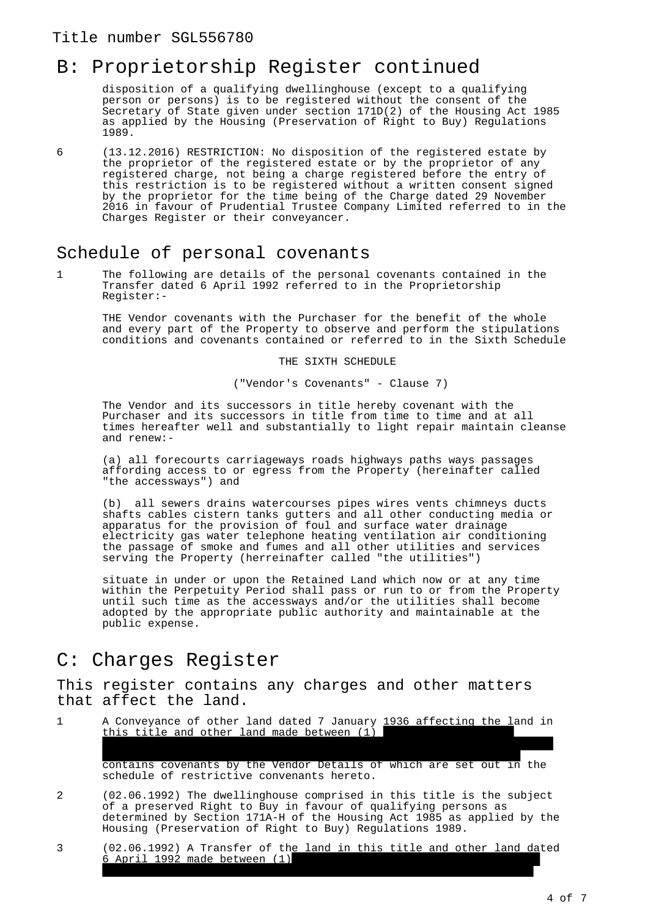## B: Proprietorship Register continued

disposition of a qualifying dwellinghouse (except to a qualifying person or persons) is to be registered without the consent of the Secretary of State given under section 171D(2) of the Housing Act 1985 as applied by the Housing (Preservation of Right to Buy) Regulations 1989.

6 (13.12.2016) RESTRICTION: No disposition of the registered estate by the proprietor of the registered estate or by the proprietor of any registered charge, not being a charge registered before the entry of this restriction is to be registered without a written consent signed by the proprietor for the time being of the Charge dated 29 November 2016 in favour of Prudential Trustee Company Limited referred to in the Charges Register or their conveyancer.

### Schedule of personal covenants

1 The following are details of the personal covenants contained in the Transfer dated 6 April 1992 referred to in the Proprietorship Register:-

THE Vendor covenants with the Purchaser for the benefit of the whole and every part of the Property to observe and perform the stipulations conditions and covenants contained or referred to in the Sixth Schedule

THE SIXTH SCHEDULE

("Vendor's Covenants" - Clause 7)

The Vendor and its successors in title hereby covenant with the Purchaser and its successors in title from time to time and at all times hereafter well and substantially to light repair maintain cleanse and renew:-

(a) all forecourts carriageways roads highways paths ways passages affording access to or egress from the Property (hereinafter called "the accessways") and

(b) all sewers drains watercourses pipes wires vents chimneys ducts shafts cables cistern tanks gutters and all other conducting media or apparatus for the provision of foul and surface water drainage electricity gas water telephone heating ventilation air conditioning the passage of smoke and fumes and all other utilities and services serving the Property (herreinafter called "the utilities")

situate in under or upon the Retained Land which now or at any time within the Perpetuity Period shall pass or run to or from the Property until such time as the accessways and/or the utilities shall become adopted by the appropriate public authority and maintainable at the public expense.

### C: Charges Register

This register contains any charges and other matters that affect the land.

1 A Conveyance of other land dated 7 January 1936 affecting the land in this title and other land made between  $(1)$ 

John Marsham-Townshend and (3) J W Ellingham Limited (Purchaser) contains covenants by the Vendor Details of which are set out in the schedule of restrictive convenants hereto.

- 2 (02.06.1992) The dwellinghouse comprised in this title is the subject of a preserved Right to Buy in favour of qualifying persons as determined by Section 171A-H of the Housing Act 1985 as applied by the Housing (Preservation of Right to Buy) Regulations 1989.
- 3 (02.06.1992) A Transfer of the land in this title and other land dated 6 April 1992 made between  $(1)$ Borough of Bromley (Vendor) and (2) Broomleigh Housing Association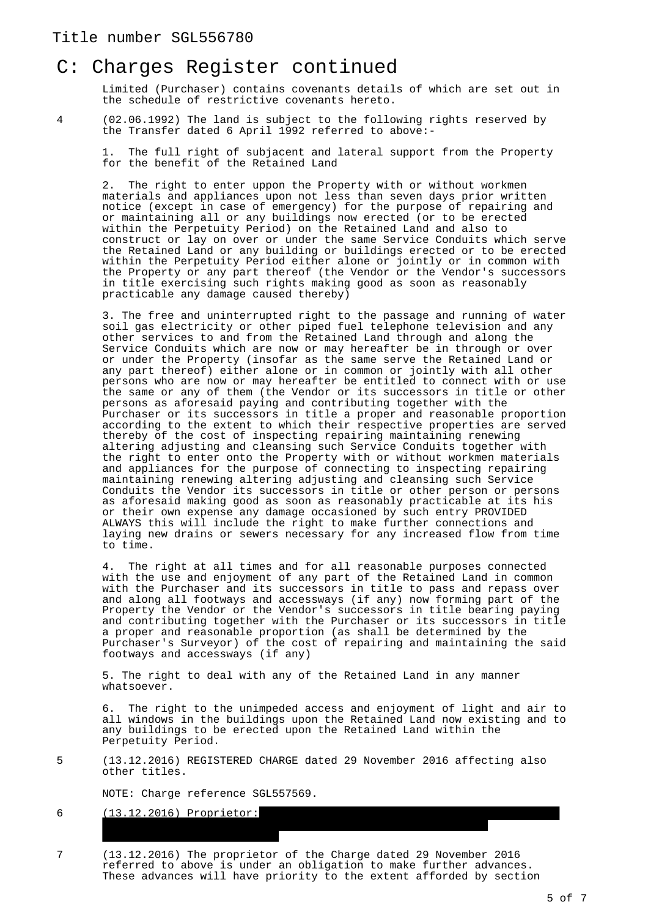### C: Charges Register continued

Limited (Purchaser) contains covenants details of which are set out in the schedule of restrictive covenants hereto.

4 (02.06.1992) The land is subject to the following rights reserved by the Transfer dated 6 April 1992 referred to above:-

1. The full right of subjacent and lateral support from the Property for the benefit of the Retained Land

2. The right to enter uppon the Property with or without workmen materials and appliances upon not less than seven days prior written notice (except in case of emergency) for the purpose of repairing and or maintaining all or any buildings now erected (or to be erected within the Perpetuity Period) on the Retained Land and also to construct or lay on over or under the same Service Conduits which serve the Retained Land or any building or buildings erected or to be erected within the Perpetuity Period either alone or jointly or in common with the Property or any part thereof (the Vendor or the Vendor's successors in title exercising such rights making good as soon as reasonably practicable any damage caused thereby)

3. The free and uninterrupted right to the passage and running of water soil gas electricity or other piped fuel telephone television and any other services to and from the Retained Land through and along the Service Conduits which are now or may hereafter be in through or over or under the Property (insofar as the same serve the Retained Land or any part thereof) either alone or in common or jointly with all other persons who are now or may hereafter be entitled to connect with or use the same or any of them (the Vendor or its successors in title or other persons as aforesaid paying and contributing together with the Purchaser or its successors in title a proper and reasonable proportion according to the extent to which their respective properties are served thereby of the cost of inspecting repairing maintaining renewing altering adjusting and cleansing such Service Conduits together with the right to enter onto the Property with or without workmen materials and appliances for the purpose of connecting to inspecting repairing maintaining renewing altering adjusting and cleansing such Service Conduits the Vendor its successors in title or other person or persons as aforesaid making good as soon as reasonably practicable at its his or their own expense any damage occasioned by such entry PROVIDED ALWAYS this will include the right to make further connections and laying new drains or sewers necessary for any increased flow from time to time.

4. The right at all times and for all reasonable purposes connected with the use and enjoyment of any part of the Retained Land in common with the Purchaser and its successors in title to pass and repass over and along all footways and accessways (if any) now forming part of the Property the Vendor or the Vendor's successors in title bearing paying and contributing together with the Purchaser or its successors in title a proper and reasonable proportion (as shall be determined by the Purchaser's Surveyor) of the cost of repairing and maintaining the said footways and accessways (if any)

5. The right to deal with any of the Retained Land in any manner whatsoever.

The right to the unimpeded access and enjoyment of light and air to all windows in the buildings upon the Retained Land now existing and to any buildings to be erected upon the Retained Land within the Perpetuity Period.

5 (13.12.2016) REGISTERED CHARGE dated 29 November 2016 affecting also other titles.

NOTE: Charge reference SGL557569.

trustees.admin@mandg.co.uk.

#### 6 (13.12.2016) Proprietor: No. 1863305) of 10 Fenchurch Avenue, London EC3M 5AG and of

7 (13.12.2016) The proprietor of the Charge dated 29 November 2016 referred to above is under an obligation to make further advances. These advances will have priority to the extent afforded by section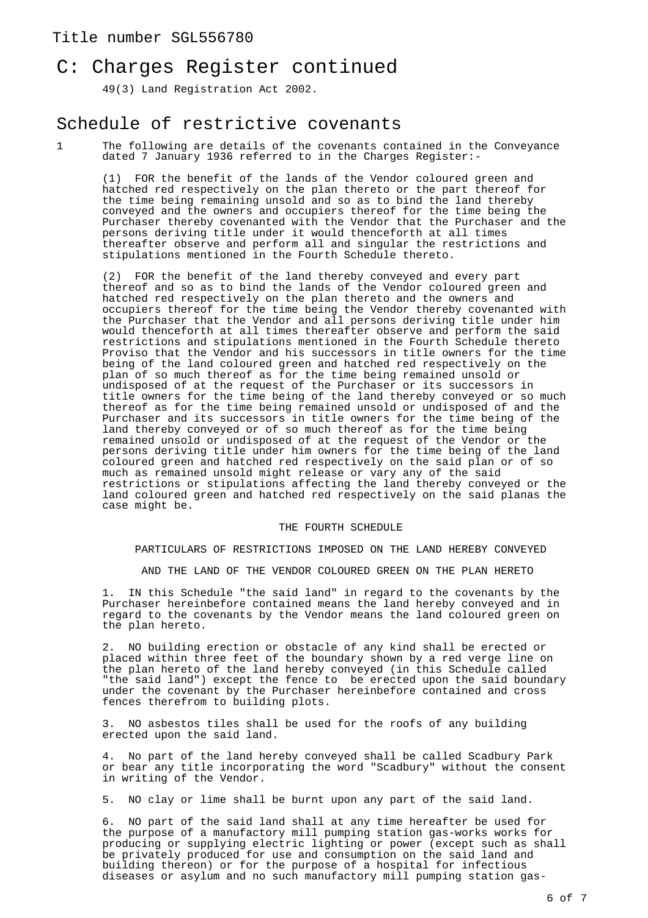### C: Charges Register continued

49(3) Land Registration Act 2002.

### Schedule of restrictive covenants

1 The following are details of the covenants contained in the Conveyance dated 7 January 1936 referred to in the Charges Register:-

(1) FOR the benefit of the lands of the Vendor coloured green and hatched red respectively on the plan thereto or the part thereof for the time being remaining unsold and so as to bind the land thereby conveyed and the owners and occupiers thereof for the time being the Purchaser thereby covenanted with the Vendor that the Purchaser and the persons deriving title under it would thenceforth at all times thereafter observe and perform all and singular the restrictions and stipulations mentioned in the Fourth Schedule thereto.

(2) FOR the benefit of the land thereby conveyed and every part thereof and so as to bind the lands of the Vendor coloured green and hatched red respectively on the plan thereto and the owners and occupiers thereof for the time being the Vendor thereby covenanted with the Purchaser that the Vendor and all persons deriving title under him would thenceforth at all times thereafter observe and perform the said restrictions and stipulations mentioned in the Fourth Schedule thereto Proviso that the Vendor and his successors in title owners for the time being of the land coloured green and hatched red respectively on the plan of so much thereof as for the time being remained unsold or undisposed of at the request of the Purchaser or its successors in title owners for the time being of the land thereby conveyed or so much thereof as for the time being remained unsold or undisposed of and the Purchaser and its successors in title owners for the time being of the land thereby conveyed or of so much thereof as for the time being remained unsold or undisposed of at the request of the Vendor or the persons deriving title under him owners for the time being of the land coloured green and hatched red respectively on the said plan or of so much as remained unsold might release or vary any of the said restrictions or stipulations affecting the land thereby conveyed or the land coloured green and hatched red respectively on the said planas the case might be.

#### THE FOURTH SCHEDULE

PARTICULARS OF RESTRICTIONS IMPOSED ON THE LAND HEREBY CONVEYED

AND THE LAND OF THE VENDOR COLOURED GREEN ON THE PLAN HERETO

1. IN this Schedule "the said land" in regard to the covenants by the Purchaser hereinbefore contained means the land hereby conveyed and in regard to the covenants by the Vendor means the land coloured green on the plan hereto.

2. NO building erection or obstacle of any kind shall be erected or placed within three feet of the boundary shown by a red verge line on the plan hereto of the land hereby conveyed (in this Schedule called "the said land") except the fence to be erected upon the said boundary under the covenant by the Purchaser hereinbefore contained and cross fences therefrom to building plots.

3. NO asbestos tiles shall be used for the roofs of any building erected upon the said land.

4. No part of the land hereby conveyed shall be called Scadbury Park or bear any title incorporating the word "Scadbury" without the consent in writing of the Vendor.

5. NO clay or lime shall be burnt upon any part of the said land.

6. NO part of the said land shall at any time hereafter be used for the purpose of a manufactory mill pumping station gas-works works for producing or supplying electric lighting or power (except such as shall be privately produced for use and consumption on the said land and building thereon) or for the purpose of a hospital for infectious diseases or asylum and no such manufactory mill pumping station gas-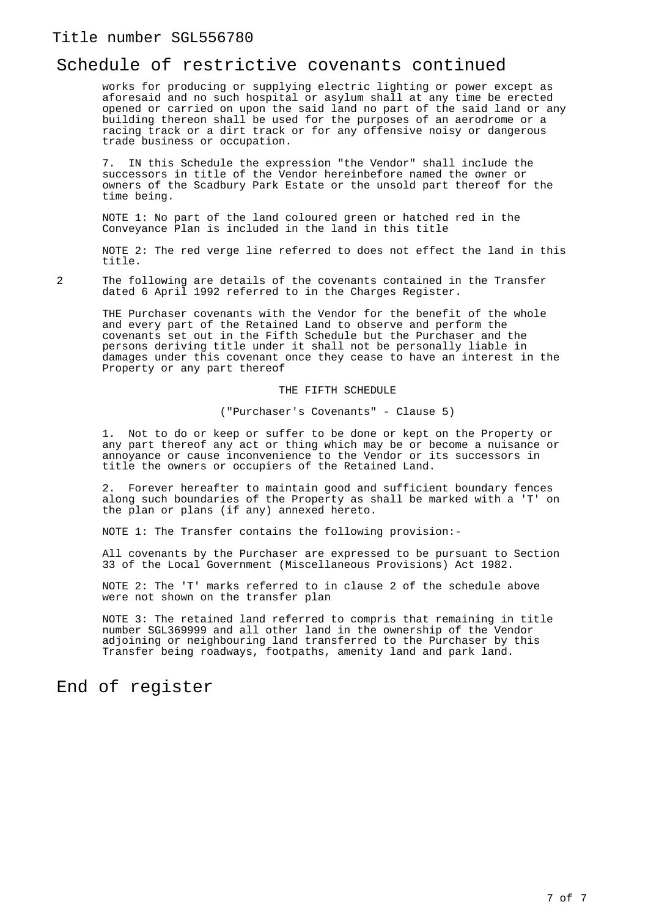#### Schedule of restrictive covenants continued

works for producing or supplying electric lighting or power except as aforesaid and no such hospital or asylum shall at any time be erected opened or carried on upon the said land no part of the said land or any building thereon shall be used for the purposes of an aerodrome or a racing track or a dirt track or for any offensive noisy or dangerous trade business or occupation.

7. IN this Schedule the expression "the Vendor" shall include the successors in title of the Vendor hereinbefore named the owner or owners of the Scadbury Park Estate or the unsold part thereof for the time being.

NOTE 1: No part of the land coloured green or hatched red in the Conveyance Plan is included in the land in this title

NOTE 2: The red verge line referred to does not effect the land in this title.

2 The following are details of the covenants contained in the Transfer dated 6 April 1992 referred to in the Charges Register.

THE Purchaser covenants with the Vendor for the benefit of the whole and every part of the Retained Land to observe and perform the covenants set out in the Fifth Schedule but the Purchaser and the persons deriving title under it shall not be personally liable in damages under this covenant once they cease to have an interest in the Property or any part thereof

THE FIFTH SCHEDULE

("Purchaser's Covenants" - Clause 5)

1. Not to do or keep or suffer to be done or kept on the Property or any part thereof any act or thing which may be or become a nuisance or annoyance or cause inconvenience to the Vendor or its successors in title the owners or occupiers of the Retained Land.

Forever hereafter to maintain good and sufficient boundary fences along such boundaries of the Property as shall be marked with a 'T' on the plan or plans (if any) annexed hereto.

NOTE 1: The Transfer contains the following provision:-

All covenants by the Purchaser are expressed to be pursuant to Section 33 of the Local Government (Miscellaneous Provisions) Act 1982.

NOTE 2: The 'T' marks referred to in clause 2 of the schedule above were not shown on the transfer plan

NOTE 3: The retained land referred to compris that remaining in title number SGL369999 and all other land in the ownership of the Vendor adjoining or neighbouring land transferred to the Purchaser by this Transfer being roadways, footpaths, amenity land and park land.

#### End of register